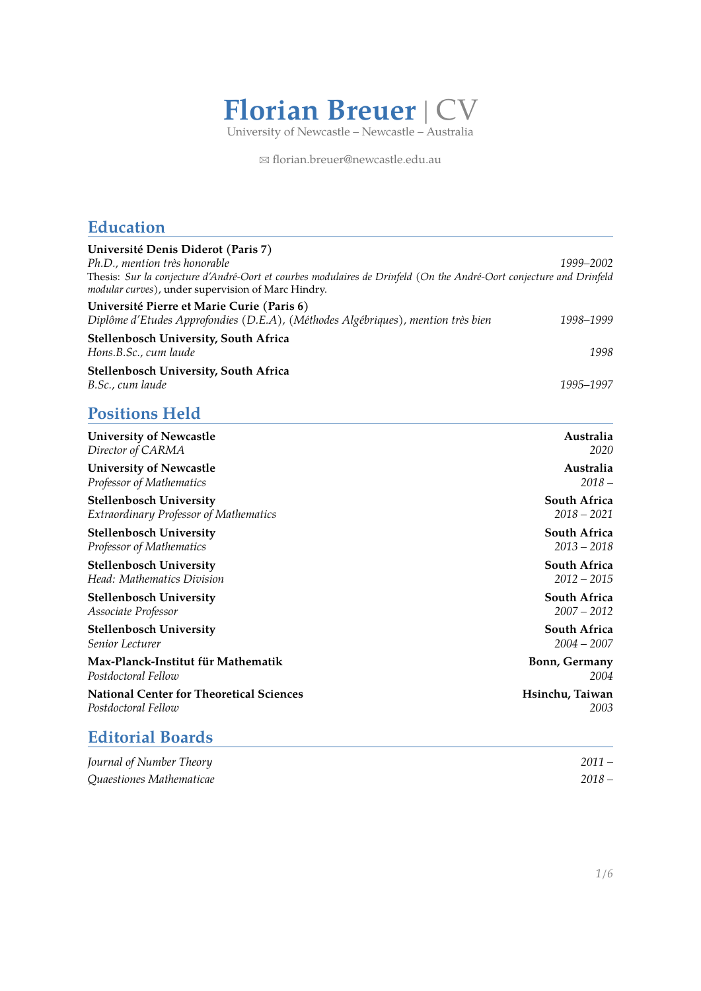

B [florian.breuer@newcastle.edu.au](mailto:florian.breuer@newcastle.edu.au)

## **Education**

| Université Denis Diderot (Paris 7)                                                                                                                                                                                      |                                      |  |
|-------------------------------------------------------------------------------------------------------------------------------------------------------------------------------------------------------------------------|--------------------------------------|--|
| Ph.D., mention très honorable<br>1999-2002<br>Thesis: Sur la conjecture d'André-Oort et courbes modulaires de Drinfeld (On the André-Oort conjecture and Drinfeld<br>modular curves), under supervision of Marc Hindry. |                                      |  |
| Université Pierre et Marie Curie (Paris 6)                                                                                                                                                                              |                                      |  |
| Diplôme d'Etudes Approfondies (D.E.A), (Méthodes Algébriques), mention très bien                                                                                                                                        | 1998-1999                            |  |
| Stellenbosch University, South Africa                                                                                                                                                                                   |                                      |  |
| Hons.B.Sc., cum laude                                                                                                                                                                                                   | 1998                                 |  |
| Stellenbosch University, South Africa                                                                                                                                                                                   |                                      |  |
| B.Sc., cum laude                                                                                                                                                                                                        | 1995–1997                            |  |
| <b>Positions Held</b>                                                                                                                                                                                                   |                                      |  |
| <b>University of Newcastle</b>                                                                                                                                                                                          | Australia                            |  |
| Director of CARMA                                                                                                                                                                                                       | 2020                                 |  |
| <b>University of Newcastle</b>                                                                                                                                                                                          | Australia                            |  |
| Professor of Mathematics                                                                                                                                                                                                | $2018 -$                             |  |
| <b>Stellenbosch University</b>                                                                                                                                                                                          | <b>South Africa</b>                  |  |
| <b>Extraordinary Professor of Mathematics</b>                                                                                                                                                                           | $2018 - 2021$                        |  |
| <b>Stellenbosch University</b><br>Professor of Mathematics                                                                                                                                                              | <b>South Africa</b><br>$2013 - 2018$ |  |
|                                                                                                                                                                                                                         |                                      |  |
| <b>Stellenbosch University</b><br>Head: Mathematics Division                                                                                                                                                            | <b>South Africa</b><br>$2012 - 2015$ |  |
| <b>Stellenbosch University</b>                                                                                                                                                                                          | <b>South Africa</b>                  |  |
| Associate Professor                                                                                                                                                                                                     | $2007 - 2012$                        |  |
| <b>Stellenbosch University</b>                                                                                                                                                                                          | <b>South Africa</b>                  |  |
| Senior Lecturer                                                                                                                                                                                                         | $2004 - 2007$                        |  |
| Max-Planck-Institut für Mathematik<br>Postdoctoral Fellow                                                                                                                                                               | Bonn, Germany<br>2004                |  |
| <b>National Center for Theoretical Sciences</b><br>Postdoctoral Fellow                                                                                                                                                  | Hsinchu, Taiwan<br>2003              |  |
|                                                                                                                                                                                                                         |                                      |  |

# **Editorial Boards**

| Journal of Number Theory | $2011 -$ |
|--------------------------|----------|
| Quaestiones Mathematicae | $2018 -$ |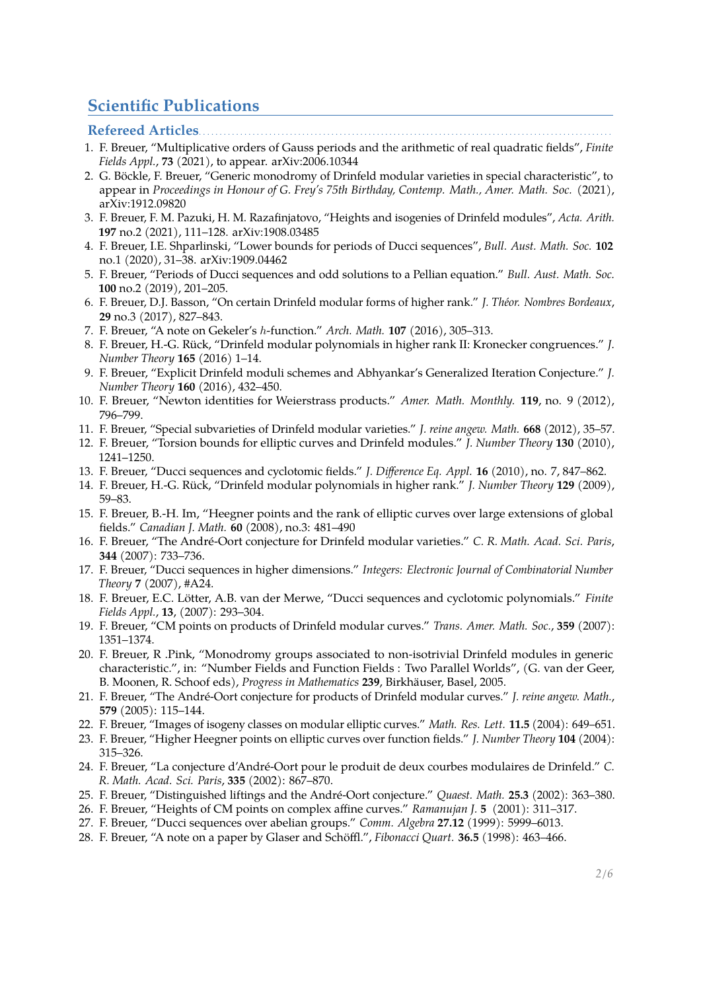# **Scientific Publications**

#### **Refereed Articles....**

- 1. F. Breuer, "Multiplicative orders of Gauss periods and the arithmetic of real quadratic fields", *Finite Fields Appl.*, **73** (2021), to appear. arXiv:2006.10344
- 2. G. Böckle, F. Breuer, "Generic monodromy of Drinfeld modular varieties in special characteristic", to appear in *Proceedings in Honour of G. Frey's 75th Birthday, Contemp. Math., Amer. Math. Soc.* (2021), arXiv:1912.09820
- 3. F. Breuer, F. M. Pazuki, H. M. Razafinjatovo, "Heights and isogenies of Drinfeld modules", *Acta. Arith.* **197** no.2 (2021), 111–128. arXiv:1908.03485
- 4. F. Breuer, I.E. Shparlinski, "Lower bounds for periods of Ducci sequences", *Bull. Aust. Math. Soc.* **102** no.1 (2020), 31–38. arXiv:1909.04462
- 5. F. Breuer, "Periods of Ducci sequences and odd solutions to a Pellian equation." *Bull. Aust. Math. Soc.* **100** no.2 (2019), 201–205.
- 6. F. Breuer, D.J. Basson, "On certain Drinfeld modular forms of higher rank." *J. Théor. Nombres Bordeaux*, **29** no.3 (2017), 827–843.
- 7. F. Breuer, "A note on Gekeler's h-function." *Arch. Math.* **107** (2016), 305–313.
- 8. F. Breuer, H.-G. Rück, "Drinfeld modular polynomials in higher rank II: Kronecker congruences." *J. Number Theory* **165** (2016) 1–14.
- 9. F. Breuer, "Explicit Drinfeld moduli schemes and Abhyankar's Generalized Iteration Conjecture." *J. Number Theory* **160** (2016), 432–450.
- 10. F. Breuer, "Newton identities for Weierstrass products." *Amer. Math. Monthly.* **119**, no. 9 (2012), 796–799.
- 11. F. Breuer, "Special subvarieties of Drinfeld modular varieties." *J. reine angew. Math.* **668** (2012), 35–57.
- 12. F. Breuer, "Torsion bounds for elliptic curves and Drinfeld modules." *J. Number Theory* **130** (2010), 1241–1250.
- 13. F. Breuer, "Ducci sequences and cyclotomic fields." *J. Difference Eq. Appl.* **16** (2010), no. 7, 847–862.
- 14. F. Breuer, H.-G. Rück, "Drinfeld modular polynomials in higher rank." *J. Number Theory* **129** (2009), 59–83.
- 15. F. Breuer, B.-H. Im, "Heegner points and the rank of elliptic curves over large extensions of global fields." *Canadian J. Math.* **60** (2008), no.3: 481–490
- 16. F. Breuer, "The André-Oort conjecture for Drinfeld modular varieties." *C. R. Math. Acad. Sci. Paris*, **344** (2007): 733–736.
- 17. F. Breuer, "Ducci sequences in higher dimensions." *Integers: Electronic Journal of Combinatorial Number Theory* **7** (2007), #A24.
- 18. F. Breuer, E.C. Lötter, A.B. van der Merwe, "Ducci sequences and cyclotomic polynomials." *Finite Fields Appl.*, **13**, (2007): 293–304.
- 19. F. Breuer, "CM points on products of Drinfeld modular curves." *Trans. Amer. Math. Soc.*, **359** (2007): 1351–1374.
- 20. F. Breuer, R .Pink, "Monodromy groups associated to non-isotrivial Drinfeld modules in generic characteristic.", in: "Number Fields and Function Fields : Two Parallel Worlds", (G. van der Geer, B. Moonen, R. Schoof eds), *Progress in Mathematics* **239**, Birkhäuser, Basel, 2005.
- 21. F. Breuer, "The André-Oort conjecture for products of Drinfeld modular curves." *J. reine angew. Math.*, **579** (2005): 115–144.
- 22. F. Breuer, "Images of isogeny classes on modular elliptic curves." *Math. Res. Lett.* **11.5** (2004): 649–651.
- 23. F. Breuer, "Higher Heegner points on elliptic curves over function fields." *J. Number Theory* **104** (2004): 315–326.
- 24. F. Breuer, "La conjecture d'André-Oort pour le produit de deux courbes modulaires de Drinfeld." *C. R. Math. Acad. Sci. Paris*, **335** (2002): 867–870.
- 25. F. Breuer, "Distinguished liftings and the André-Oort conjecture." *Quaest. Math.* **25.3** (2002): 363–380.
- 26. F. Breuer, "Heights of CM points on complex affine curves." *Ramanujan J.* **5** (2001): 311–317.
- 27. F. Breuer, "Ducci sequences over abelian groups." *Comm. Algebra* **27.12** (1999): 5999–6013.
- 28. F. Breuer, "A note on a paper by Glaser and Schöffl.", *Fibonacci Quart.* **36.5** (1998): 463–466.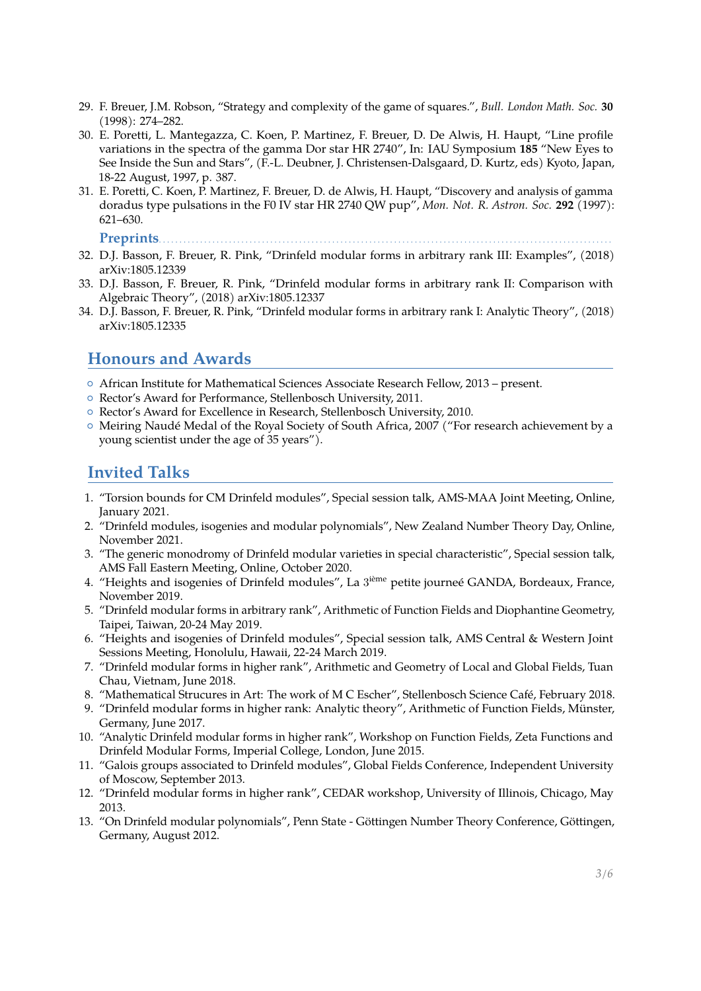- 29. F. Breuer, J.M. Robson, "Strategy and complexity of the game of squares.", *Bull. London Math. Soc.* **30** (1998): 274–282.
- 30. E. Poretti, L. Mantegazza, C. Koen, P. Martinez, F. Breuer, D. De Alwis, H. Haupt, "Line profile variations in the spectra of the gamma Dor star HR 2740", In: IAU Symposium **185** "New Eyes to See Inside the Sun and Stars", (F.-L. Deubner, J. Christensen-Dalsgaard, D. Kurtz, eds) Kyoto, Japan, 18-22 August, 1997, p. 387.
- 31. E. Poretti, C. Koen, P. Martinez, F. Breuer, D. de Alwis, H. Haupt, "Discovery and analysis of gamma doradus type pulsations in the F0 IV star HR 2740 QW pup", *Mon. Not. R. Astron. Soc.* **292** (1997): 621–630.

Preprints...

- 32. D.J. Basson, F. Breuer, R. Pink, "Drinfeld modular forms in arbitrary rank III: Examples", (2018) arXiv:1805.12339
- 33. D.J. Basson, F. Breuer, R. Pink, "Drinfeld modular forms in arbitrary rank II: Comparison with Algebraic Theory", (2018) arXiv:1805.12337
- 34. D.J. Basson, F. Breuer, R. Pink, "Drinfeld modular forms in arbitrary rank I: Analytic Theory", (2018) arXiv:1805.12335

### **Honours and Awards**

- { African Institute for Mathematical Sciences Associate Research Fellow, 2013 present.
- { Rector's Award for Performance, Stellenbosch University, 2011.
- { Rector's Award for Excellence in Research, Stellenbosch University, 2010.
- { Meiring Naudé Medal of the Royal Society of South Africa, 2007 ("For research achievement by a young scientist under the age of 35 years").

### **Invited Talks**

- 1. "Torsion bounds for CM Drinfeld modules", Special session talk, AMS-MAA Joint Meeting, Online, January 2021.
- 2. "Drinfeld modules, isogenies and modular polynomials", New Zealand Number Theory Day, Online, November 2021.
- 3. "The generic monodromy of Drinfeld modular varieties in special characteristic", Special session talk, AMS Fall Eastern Meeting, Online, October 2020.
- 4. "Heights and isogenies of Drinfeld modules", La 3<sup>ième</sup> petite journeé GANDA, Bordeaux, France, November 2019.
- 5. "Drinfeld modular forms in arbitrary rank", Arithmetic of Function Fields and Diophantine Geometry, Taipei, Taiwan, 20-24 May 2019.
- 6. "Heights and isogenies of Drinfeld modules", Special session talk, AMS Central & Western Joint Sessions Meeting, Honolulu, Hawaii, 22-24 March 2019.
- 7. "Drinfeld modular forms in higher rank", Arithmetic and Geometry of Local and Global Fields, Tuan Chau, Vietnam, June 2018.
- 8. "Mathematical Strucures in Art: The work of M C Escher", Stellenbosch Science Café, February 2018.
- 9. "Drinfeld modular forms in higher rank: Analytic theory", Arithmetic of Function Fields, Münster, Germany, June 2017.
- 10. "Analytic Drinfeld modular forms in higher rank", Workshop on Function Fields, Zeta Functions and Drinfeld Modular Forms, Imperial College, London, June 2015.
- 11. "Galois groups associated to Drinfeld modules", Global Fields Conference, Independent University of Moscow, September 2013.
- 12. "Drinfeld modular forms in higher rank", CEDAR workshop, University of Illinois, Chicago, May 2013.
- 13. "On Drinfeld modular polynomials", Penn State Göttingen Number Theory Conference, Göttingen, Germany, August 2012.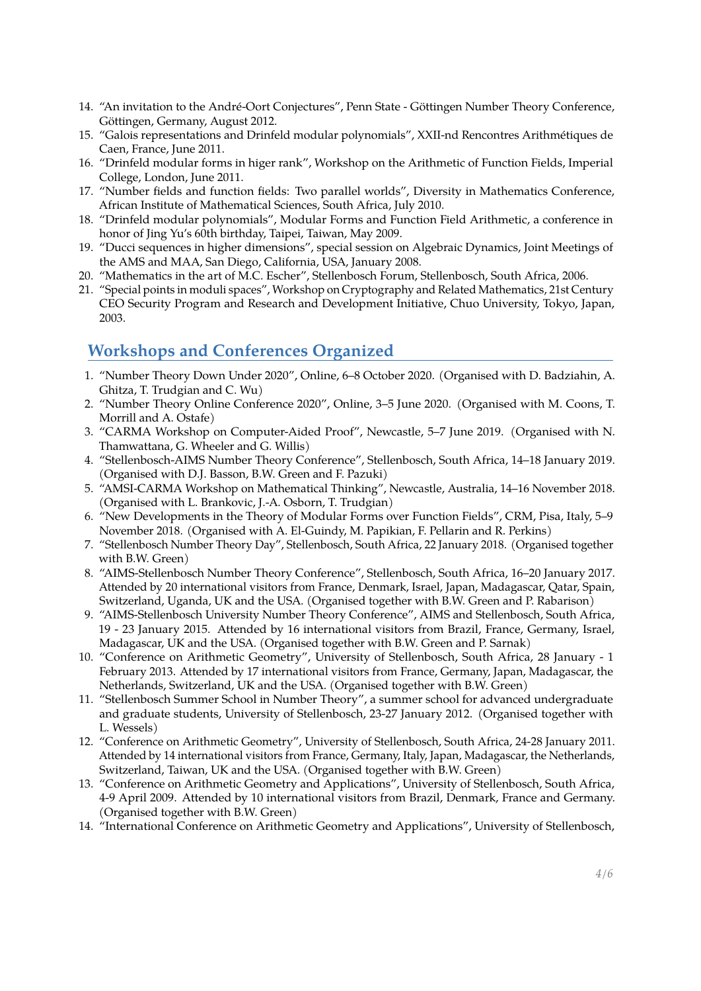- 14. "An invitation to the André-Oort Conjectures", Penn State Göttingen Number Theory Conference, Göttingen, Germany, August 2012.
- 15. "Galois representations and Drinfeld modular polynomials", XXII-nd Rencontres Arithmétiques de Caen, France, June 2011.
- 16. "Drinfeld modular forms in higer rank", Workshop on the Arithmetic of Function Fields, Imperial College, London, June 2011.
- 17. "Number fields and function fields: Two parallel worlds", Diversity in Mathematics Conference, African Institute of Mathematical Sciences, South Africa, July 2010.
- 18. "Drinfeld modular polynomials", Modular Forms and Function Field Arithmetic, a conference in honor of Jing Yu's 60th birthday, Taipei, Taiwan, May 2009.
- 19. "Ducci sequences in higher dimensions", special session on Algebraic Dynamics, Joint Meetings of the AMS and MAA, San Diego, California, USA, January 2008.
- 20. "Mathematics in the art of M.C. Escher", Stellenbosch Forum, Stellenbosch, South Africa, 2006.
- 21. "Special points in moduli spaces", Workshop on Cryptography and Related Mathematics, 21st Century CEO Security Program and Research and Development Initiative, Chuo University, Tokyo, Japan, 2003.

# **Workshops and Conferences Organized**

- 1. "Number Theory Down Under 2020", Online, 6–8 October 2020. (Organised with D. Badziahin, A. Ghitza, T. Trudgian and C. Wu)
- 2. "Number Theory Online Conference 2020", Online, 3–5 June 2020. (Organised with M. Coons, T. Morrill and A. Ostafe)
- 3. "CARMA Workshop on Computer-Aided Proof", Newcastle, 5–7 June 2019. (Organised with N. Thamwattana, G. Wheeler and G. Willis)
- 4. "Stellenbosch-AIMS Number Theory Conference", Stellenbosch, South Africa, 14–18 January 2019. (Organised with D.J. Basson, B.W. Green and F. Pazuki)
- 5. "AMSI-CARMA Workshop on Mathematical Thinking", Newcastle, Australia, 14–16 November 2018. (Organised with L. Brankovic, J.-A. Osborn, T. Trudgian)
- 6. "New Developments in the Theory of Modular Forms over Function Fields", CRM, Pisa, Italy, 5–9 November 2018. (Organised with A. El-Guindy, M. Papikian, F. Pellarin and R. Perkins)
- 7. "Stellenbosch Number Theory Day", Stellenbosch, South Africa, 22 January 2018. (Organised together with B.W. Green)
- 8. "AIMS-Stellenbosch Number Theory Conference", Stellenbosch, South Africa, 16–20 January 2017. Attended by 20 international visitors from France, Denmark, Israel, Japan, Madagascar, Qatar, Spain, Switzerland, Uganda, UK and the USA. (Organised together with B.W. Green and P. Rabarison)
- 9. "AIMS-Stellenbosch University Number Theory Conference", AIMS and Stellenbosch, South Africa, 19 - 23 January 2015. Attended by 16 international visitors from Brazil, France, Germany, Israel, Madagascar, UK and the USA. (Organised together with B.W. Green and P. Sarnak)
- 10. "Conference on Arithmetic Geometry", University of Stellenbosch, South Africa, 28 January 1 February 2013. Attended by 17 international visitors from France, Germany, Japan, Madagascar, the Netherlands, Switzerland, UK and the USA. (Organised together with B.W. Green)
- 11. "Stellenbosch Summer School in Number Theory", a summer school for advanced undergraduate and graduate students, University of Stellenbosch, 23-27 January 2012. (Organised together with L. Wessels)
- 12. "Conference on Arithmetic Geometry", University of Stellenbosch, South Africa, 24-28 January 2011. Attended by 14 international visitors from France, Germany, Italy, Japan, Madagascar, the Netherlands, Switzerland, Taiwan, UK and the USA. (Organised together with B.W. Green)
- 13. "Conference on Arithmetic Geometry and Applications", University of Stellenbosch, South Africa, 4-9 April 2009. Attended by 10 international visitors from Brazil, Denmark, France and Germany. (Organised together with B.W. Green)
- 14. "International Conference on Arithmetic Geometry and Applications", University of Stellenbosch,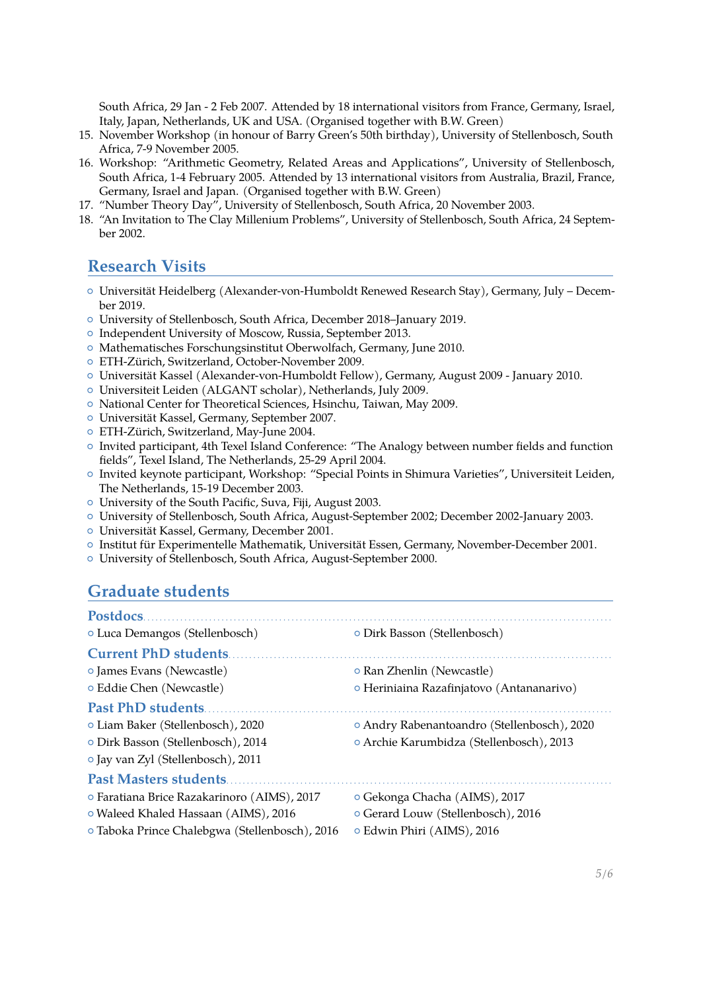South Africa, 29 Jan - 2 Feb 2007. Attended by 18 international visitors from France, Germany, Israel, Italy, Japan, Netherlands, UK and USA. (Organised together with B.W. Green)

- 15. November Workshop (in honour of Barry Green's 50th birthday), University of Stellenbosch, South Africa, 7-9 November 2005.
- 16. Workshop: "Arithmetic Geometry, Related Areas and Applications", University of Stellenbosch, South Africa, 1-4 February 2005. Attended by 13 international visitors from Australia, Brazil, France, Germany, Israel and Japan. (Organised together with B.W. Green)
- 17. "Number Theory Day", University of Stellenbosch, South Africa, 20 November 2003.
- 18. "An Invitation to The Clay Millenium Problems", University of Stellenbosch, South Africa, 24 September 2002.

### **Research Visits**

- { Universität Heidelberg (Alexander-von-Humboldt Renewed Research Stay), Germany, July December 2019.
- { University of Stellenbosch, South Africa, December 2018–January 2019.
- { Independent University of Moscow, Russia, September 2013.
- { Mathematisches Forschungsinstitut Oberwolfach, Germany, June 2010.
- { ETH-Zürich, Switzerland, October-November 2009.
- { Universität Kassel (Alexander-von-Humboldt Fellow), Germany, August 2009 January 2010.
- { Universiteit Leiden (ALGANT scholar), Netherlands, July 2009.
- { National Center for Theoretical Sciences, Hsinchu, Taiwan, May 2009.
- { Universität Kassel, Germany, September 2007.
- { ETH-Zürich, Switzerland, May-June 2004.
- { Invited participant, 4th Texel Island Conference: "The Analogy between number fields and function fields", Texel Island, The Netherlands, 25-29 April 2004.
- { Invited keynote participant, Workshop: "Special Points in Shimura Varieties", Universiteit Leiden, The Netherlands, 15-19 December 2003.
- { University of the South Pacific, Suva, Fiji, August 2003.
- { University of Stellenbosch, South Africa, August-September 2002; December 2002-January 2003.
- { Universität Kassel, Germany, December 2001.
- { Institut für Experimentelle Mathematik, Universität Essen, Germany, November-December 2001.
- { University of Stellenbosch, South Africa, August-September 2000.

#### **Graduate students**

| Postdocs                                       |                                             |
|------------------------------------------------|---------------------------------------------|
| o Luca Demangos (Stellenbosch)                 | O Dirk Basson (Stellenbosch)                |
| <b>Current PhD students.</b>                   |                                             |
| o James Evans (Newcastle)                      | o Ran Zhenlin (Newcastle)                   |
| o Eddie Chen (Newcastle)                       | o Heriniaina Razafinjatovo (Antananarivo)   |
| <b>Past PhD students.</b>                      |                                             |
| o Liam Baker (Stellenbosch), 2020              | o Andry Rabenantoandro (Stellenbosch), 2020 |
| o Dirk Basson (Stellenbosch), 2014             | o Archie Karumbidza (Stellenbosch), 2013    |
| o Jay van Zyl (Stellenbosch), 2011             |                                             |
| <b>Past Masters students</b>                   |                                             |
| o Faratiana Brice Razakarinoro (AIMS), 2017    | o Gekonga Chacha (AIMS), 2017               |
| o Waleed Khaled Hassaan (AIMS), 2016           | o Gerard Louw (Stellenbosch), 2016          |
| o Taboka Prince Chalebgwa (Stellenbosch), 2016 | o Edwin Phiri (AIMS), 2016                  |
|                                                |                                             |